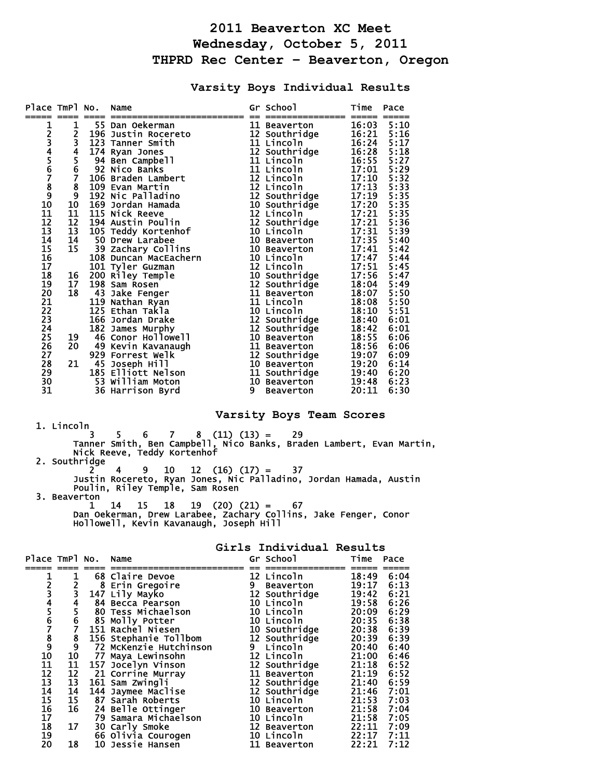## **2011 Beaverton XC Meet Wednesday, October 5, 2011 THPRD Rec Center – Beaverton, Oregon**

**Varsity Boys Individual Results** 

| Place TmPl No.               |                 |     | Name                  |   | Gr School                   | Time  | Pace |
|------------------------------|-----------------|-----|-----------------------|---|-----------------------------|-------|------|
|                              |                 |     |                       |   |                             |       |      |
| <b>123456789011123415167</b> | 12345678910     |     | 55 Dan Oekerman       |   | 11 Beaverton                | 16:03 | 5:10 |
|                              |                 |     | 196 Justin Rocereto   |   | 12 Southridge               | 16:21 | 5:16 |
|                              |                 |     | 123 Tanner Smith      |   | 11 Lincoln                  | 16:24 | 5:17 |
|                              |                 |     | 174 Ryan Jones        |   | 12 Southridge               | 16:28 | 5:18 |
|                              |                 |     | 94 Ben Campbell       |   | 11 Lincoln                  | 16:55 | 5:27 |
|                              |                 |     | 92 Nico Banks         |   | 11 Lincoln                  | 17:01 | 5:29 |
|                              |                 |     | 106 Braden Lambert    |   | 12 Lincoln                  | 17:10 | 5:32 |
|                              |                 |     | 109 Evan Martin       |   | 12 Lincoln                  | 17:13 | 5:33 |
|                              |                 |     | 192 Nic Palladino     |   | 12 Southridge               | 17:19 | 5:35 |
|                              |                 |     | 169 Jordan Hamada     |   | 10 Southridge<br>12 Lincoln | 17:20 | 5:35 |
|                              | $\overline{11}$ |     | 115 Nick Reeve        |   |                             | 17:21 | 5:35 |
|                              | $\overline{12}$ |     | 194 Austin Poulin     |   | 12 Southridge               | 17:21 | 5:36 |
|                              | 13              |     | 105 Teddy Kortenhof   |   | 10 Lincoln                  | 17:31 | 5:39 |
|                              | 14              |     | 50 Drew Larabee       |   | 10 Beaverton                | 17:35 | 5:40 |
|                              | 15              |     | 39 Zachary Collins    |   | 10 Beaverton                | 17:41 | 5:42 |
|                              |                 |     | 108 Duncan MacEachern |   | 10 Lincoln                  | 17:47 | 5:44 |
|                              |                 |     | 101 Tyler Guzman      |   | 12 Lincoln                  | 17:51 | 5:45 |
| 18<br>19                     | 16              |     | 200 Riley Temple      |   | 10 Southridge               | 17:56 | 5:47 |
|                              | 17              |     | 198 Sam Rosen         |   | 12 Southridge               | 18:04 | 5:49 |
|                              | 18              | 43  | Jake Fenger           |   | 11 Beaverton                | 18:07 | 5:50 |
| 20<br>21<br>22<br>23         |                 | 119 | Nathan Ryan           |   | 11 Lincoln                  | 18:08 | 5:50 |
|                              |                 |     | 125 Ethan Takla       |   | 10 Lincoln                  | 18:10 | 5:51 |
|                              |                 |     | 166 Jordan Drake      |   | 12 Southridge               | 18:40 | 6:01 |
| $\overline{24}$              |                 |     | 182 James Murphy      |   | 12 Southridge               | 18:42 | 6:01 |
| 25<br>26                     | 19              |     | 46 Conor Hollowell    |   | 10 Beaverton                | 18:55 | 6:06 |
|                              | 20              |     | 49 Kevin Kavanaugh    |   | 11 Beaverton                | 18:56 | 6:06 |
| 27                           |                 |     | 929 Forrest Welk      |   | 12 Southridge               | 19:07 | 6:09 |
| 28                           | 21              | 45  | Joseph Hill           |   | 10 Beaverton                | 19:20 | 6:14 |
| 29                           |                 | 185 | Elliott Nelson        |   | 11 Southridge               | 19:40 | 6:20 |
| 30                           |                 |     | 53 William Moton      |   | 10 Beaverton                | 19:48 | 6:23 |
| 31                           |                 |     | 36 Harrison Byrd      | 9 | <b>Beaverton</b>            | 20:11 | 6:30 |

## **Varsity Boys Team Scores**

 1. Lincoln  $3 \quad 5 \quad 6 \quad 7 \quad 8 \quad (11) \quad (13) = \quad 29$  Tanner Smith, Ben Campbell, Nico Banks, Braden Lambert, Evan Martin, Nick Reeve, Teddy Kortenhof

 2. Southridge 2 4 9 10 12 (16) (17) = 37

 Justin Rocereto, Ryan Jones, Nic Palladino, Jordan Hamada, Austin Poulin, Riley Temple, Sam Rosen 3. Beaverton<br> $\begin{bmatrix} 1 & 14 \end{bmatrix}$ 

 1 14 15 18 19 (20) (21) = 67 Dan Oekerman, Drew Larabee, Zachary Collins, Jake Fenger, Conor Hollowell, Kevin Kavanaugh, Joseph Hill

| Place TmPl No.                              |                         |    | Name                   |   | Gr School        | Time  | Pace |
|---------------------------------------------|-------------------------|----|------------------------|---|------------------|-------|------|
|                                             |                         |    |                        |   |                  |       |      |
|                                             |                         |    | 68 Claire Devoe        |   | 12 Lincoln       | 18:49 | 6:04 |
| 2<br>3                                      |                         |    | 8 Erin Gregoire        | 9 | <b>Beaverton</b> | 19:17 | 6:13 |
|                                             | $\overline{\mathbf{3}}$ |    | 147 Lily Mayko         |   | 12 Southridge    | 19:42 | 6:21 |
|                                             | 4                       |    | 84 Becca Pearson       |   | 10 Lincoln       | 19:58 | 6:26 |
|                                             |                         |    | 80 Tess Michaelson     |   | 10 Lincoln       | 20:09 | 6:29 |
| 4<br>5<br>6<br>7                            | 6                       |    | 85 Molly Potter        |   | 10 Lincoln       | 20:35 | 6:38 |
|                                             |                         |    | 151 Rachel Niesen      |   | 10 Southridge    | 20:38 | 6:39 |
|                                             | $\frac{8}{9}$           |    | 156 Stephanie Tollbom  |   | 12 Southridge    | 20:39 | 6:39 |
|                                             |                         |    | 72 McKenzie Hutchinson | 9 | Lincoln          | 20:40 | 6:40 |
| $\begin{array}{c} 8 \\ 9 \\ 10 \end{array}$ | 10                      | 77 | Maya Lewinsohn         |   | 12 Lincoln       | 21:00 | 6:46 |
| $\overline{11}$                             | 11                      |    | 157 Jocelyn Vinson     |   | 12 Southridge    | 21:18 | 6:52 |
| $\frac{1}{12}$<br>$13$                      | 12                      |    | 21 Corrine Murray      |   | 11 Beaverton     | 21:19 | 6:52 |
|                                             | 13                      |    | 161 Sam Zwingli        |   | 12 Southridge    | 21:40 | 6:59 |
| $\frac{14}{15}$                             | 14                      |    | 144 Jaymee Maclise     |   | 12 Southridge    | 21:46 | 7:01 |
|                                             | 15                      |    | 87 Sarah Roberts       |   | 10 Lincoln       | 21:53 | 7:03 |

**Girls Individual Results** 

|    |    | 79 Samara Michaelson | 10 Lincoln   | 21:58 7:05     |
|----|----|----------------------|--------------|----------------|
|    |    | 30 Carly Smoke       | 12 Beaverton | 22:11 7:09     |
| 19 |    | 66 Olivia Courogen   | 10 Lincoln   | $22:17$ $7:11$ |
|    | 18 | 10 Jessie Hansen     | 11 Beaverton | $22:21$ $7:12$ |

16 16 24 Belle Ottinger 10 Beaverton 21:58 7:04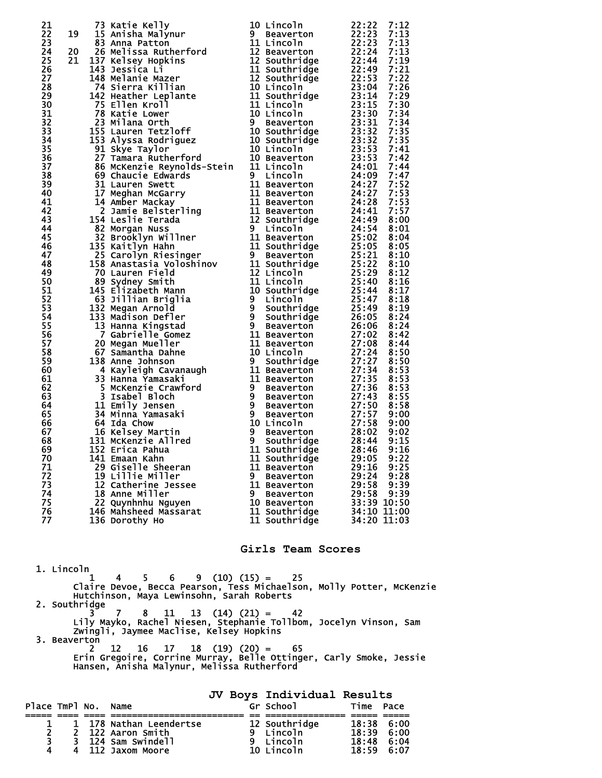|                                           |                    | 21 Statistickelly and the street of the content of the street of the street of the street of the street of the street of the street of the street of the street of the street of the street of the street of the street of th |                      |               |
|-------------------------------------------|--------------------|-------------------------------------------------------------------------------------------------------------------------------------------------------------------------------------------------------------------------------|----------------------|---------------|
|                                           |                    |                                                                                                                                                                                                                               |                      |               |
|                                           |                    |                                                                                                                                                                                                                               |                      |               |
|                                           |                    |                                                                                                                                                                                                                               |                      |               |
|                                           |                    |                                                                                                                                                                                                                               |                      |               |
|                                           |                    |                                                                                                                                                                                                                               |                      |               |
|                                           |                    |                                                                                                                                                                                                                               |                      |               |
|                                           |                    |                                                                                                                                                                                                                               |                      |               |
|                                           |                    |                                                                                                                                                                                                                               |                      |               |
|                                           |                    |                                                                                                                                                                                                                               |                      |               |
|                                           |                    |                                                                                                                                                                                                                               |                      |               |
|                                           |                    |                                                                                                                                                                                                                               |                      |               |
|                                           |                    |                                                                                                                                                                                                                               |                      |               |
|                                           |                    |                                                                                                                                                                                                                               |                      |               |
|                                           |                    |                                                                                                                                                                                                                               |                      |               |
|                                           |                    |                                                                                                                                                                                                                               |                      |               |
|                                           |                    |                                                                                                                                                                                                                               |                      |               |
|                                           |                    |                                                                                                                                                                                                                               |                      |               |
|                                           |                    |                                                                                                                                                                                                                               |                      |               |
|                                           |                    |                                                                                                                                                                                                                               |                      |               |
|                                           |                    |                                                                                                                                                                                                                               |                      |               |
|                                           |                    |                                                                                                                                                                                                                               |                      |               |
|                                           |                    |                                                                                                                                                                                                                               |                      |               |
|                                           |                    |                                                                                                                                                                                                                               |                      |               |
|                                           |                    |                                                                                                                                                                                                                               |                      |               |
|                                           |                    |                                                                                                                                                                                                                               |                      |               |
|                                           |                    |                                                                                                                                                                                                                               |                      |               |
|                                           |                    |                                                                                                                                                                                                                               |                      |               |
|                                           |                    |                                                                                                                                                                                                                               |                      |               |
|                                           |                    |                                                                                                                                                                                                                               |                      |               |
|                                           |                    |                                                                                                                                                                                                                               |                      |               |
|                                           |                    |                                                                                                                                                                                                                               |                      |               |
|                                           |                    |                                                                                                                                                                                                                               |                      |               |
|                                           |                    |                                                                                                                                                                                                                               |                      |               |
|                                           |                    |                                                                                                                                                                                                                               |                      |               |
|                                           |                    |                                                                                                                                                                                                                               |                      |               |
|                                           |                    |                                                                                                                                                                                                                               |                      |               |
|                                           |                    |                                                                                                                                                                                                                               |                      |               |
|                                           |                    |                                                                                                                                                                                                                               |                      |               |
|                                           |                    |                                                                                                                                                                                                                               |                      |               |
|                                           |                    |                                                                                                                                                                                                                               |                      |               |
|                                           |                    |                                                                                                                                                                                                                               |                      |               |
|                                           |                    |                                                                                                                                                                                                                               |                      |               |
|                                           |                    |                                                                                                                                                                                                                               |                      |               |
|                                           |                    |                                                                                                                                                                                                                               |                      |               |
|                                           |                    |                                                                                                                                                                                                                               |                      |               |
|                                           |                    |                                                                                                                                                                                                                               |                      |               |
|                                           |                    |                                                                                                                                                                                                                               |                      |               |
|                                           |                    |                                                                                                                                                                                                                               |                      |               |
|                                           |                    |                                                                                                                                                                                                                               |                      |               |
| 71                                        |                    | 29 Giselle Sheeran                                                                                                                                                                                                            | 11 Beaverton         | 29:16<br>9:25 |
| 72                                        |                    | 19 Lillie Miller                                                                                                                                                                                                              | 9 Beaverton          | 29:24<br>9:28 |
| 73                                        |                    | 12 Catherine Jessee                                                                                                                                                                                                           | 11 Beaverton         | 29:58<br>9:39 |
| 74                                        |                    | 18 Anne Miller                                                                                                                                                                                                                | 9 Beaverton          | 29:58<br>9:39 |
| 75                                        |                    | 22 Quynhnhu Nguyen                                                                                                                                                                                                            | 10 Beaverton         | 33:39 10:50   |
| 76                                        |                    | 146 Mahsheed Massarat                                                                                                                                                                                                         | 11 Southridge        | 34:10 11:00   |
| 77                                        |                    | 136 Dorothy Ho                                                                                                                                                                                                                | 11 Southridge        | 34:20 11:03   |
|                                           |                    |                                                                                                                                                                                                                               |                      |               |
|                                           |                    |                                                                                                                                                                                                                               |                      |               |
|                                           |                    |                                                                                                                                                                                                                               | Girls Team Scores    |               |
|                                           |                    |                                                                                                                                                                                                                               |                      |               |
|                                           |                    |                                                                                                                                                                                                                               |                      |               |
| 1. Lincoln                                |                    |                                                                                                                                                                                                                               |                      |               |
|                                           | 1                  | $5 -$<br>6.<br>4                                                                                                                                                                                                              | $9(10)(15) = 25$     |               |
|                                           |                    | Claire Devoe, Becca Pearson, Tess Michaelson, Molly Potter, McKenzie                                                                                                                                                          |                      |               |
| Hutchinson, Maya Lewinsohn, Sarah Roberts |                    |                                                                                                                                                                                                                               |                      |               |
|                                           | 2. Southridge<br>3 | 7 <sup>7</sup><br>11                                                                                                                                                                                                          | $13$ $(14)$ $(21) =$ |               |
|                                           |                    | 8.                                                                                                                                                                                                                            | 42                   |               |

 Lily Mayko, Rachel Niesen, Stephanie Tollbom, Jocelyn Vinson, Sam Zwingli, Jaymee Maclise, Kelsey Hopkins 3. Beaverton

 2 12 16 17 18 (19) (20) = 65 Erin Gregoire, Corrine Murray, Belle Ottinger, Carly Smoke, Jessie Hansen, Anisha Malynur, Melissa Rutherford

**JV Boys Individual Results**  Place TmPl No. Name ===== ==== ==== ========================= == =============== ===== ===== 1 1 178 Nathan Leendertse 12 Southridge 18:38 6:00 2 2 122 Aaron Smith 9 Lincoln 18:39 6:00 3 3 124 Sam Swindell 9 Lincoln 18:48 6:04 4 4 112 Jaxom Moore 10 Lincoln 18:59 6:07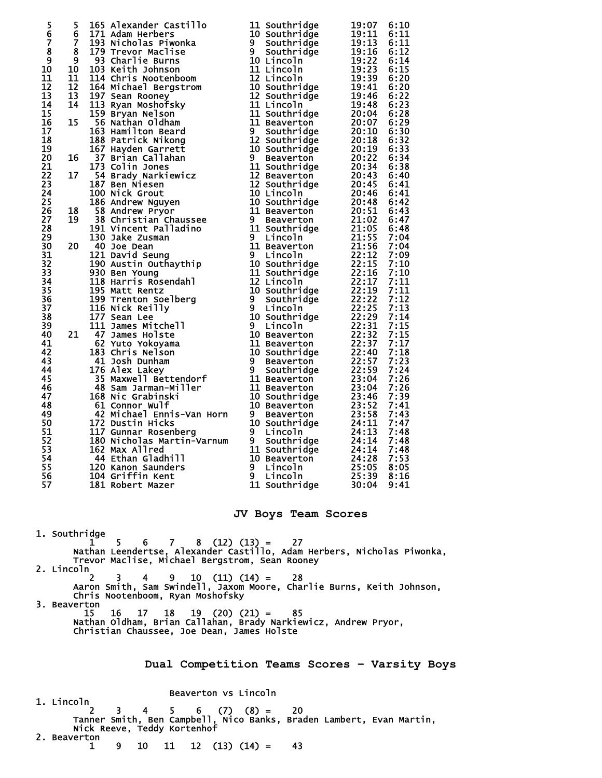|                                                                                                                                           |  | $\begin{smallmatrix}5& 5& 165& \text{Alcsander } \text{cast} & 11& 5 \text{outtr}_1^2\text{age} \\ 5& 8& 125& \text{Arichlase} & 11& 5 \text{outtr}_1^2\text{age} \\ 5& 8& 125& \text{Tr}(30\text{ Na}^{-1}\text{m}^2) & 11& 5 \text{outtr}_1^2\text{age} \\ 5& 8& 125& \text{Tr}(30\text{ Na}^{-1}\text{m}^2) & 11& 11& 5 \text{outtr}_1^2\text{age} \\ 5& 125& \text{Tr}(30$ |                           |                                |  |  |
|-------------------------------------------------------------------------------------------------------------------------------------------|--|--------------------------------------------------------------------------------------------------------------------------------------------------------------------------------------------------------------------------------------------------------------------------------------------------------------------------------------------------------------------------------|---------------------------|--------------------------------|--|--|
|                                                                                                                                           |  |                                                                                                                                                                                                                                                                                                                                                                                |                           |                                |  |  |
|                                                                                                                                           |  |                                                                                                                                                                                                                                                                                                                                                                                |                           |                                |  |  |
|                                                                                                                                           |  |                                                                                                                                                                                                                                                                                                                                                                                |                           |                                |  |  |
|                                                                                                                                           |  |                                                                                                                                                                                                                                                                                                                                                                                |                           |                                |  |  |
|                                                                                                                                           |  |                                                                                                                                                                                                                                                                                                                                                                                |                           |                                |  |  |
|                                                                                                                                           |  |                                                                                                                                                                                                                                                                                                                                                                                |                           |                                |  |  |
|                                                                                                                                           |  |                                                                                                                                                                                                                                                                                                                                                                                |                           |                                |  |  |
|                                                                                                                                           |  |                                                                                                                                                                                                                                                                                                                                                                                |                           |                                |  |  |
|                                                                                                                                           |  |                                                                                                                                                                                                                                                                                                                                                                                |                           |                                |  |  |
|                                                                                                                                           |  |                                                                                                                                                                                                                                                                                                                                                                                |                           |                                |  |  |
|                                                                                                                                           |  |                                                                                                                                                                                                                                                                                                                                                                                |                           |                                |  |  |
|                                                                                                                                           |  |                                                                                                                                                                                                                                                                                                                                                                                |                           |                                |  |  |
|                                                                                                                                           |  |                                                                                                                                                                                                                                                                                                                                                                                |                           |                                |  |  |
|                                                                                                                                           |  |                                                                                                                                                                                                                                                                                                                                                                                |                           |                                |  |  |
|                                                                                                                                           |  |                                                                                                                                                                                                                                                                                                                                                                                |                           |                                |  |  |
|                                                                                                                                           |  |                                                                                                                                                                                                                                                                                                                                                                                |                           |                                |  |  |
|                                                                                                                                           |  |                                                                                                                                                                                                                                                                                                                                                                                |                           |                                |  |  |
|                                                                                                                                           |  |                                                                                                                                                                                                                                                                                                                                                                                |                           |                                |  |  |
|                                                                                                                                           |  |                                                                                                                                                                                                                                                                                                                                                                                |                           |                                |  |  |
|                                                                                                                                           |  |                                                                                                                                                                                                                                                                                                                                                                                |                           |                                |  |  |
|                                                                                                                                           |  |                                                                                                                                                                                                                                                                                                                                                                                |                           |                                |  |  |
|                                                                                                                                           |  |                                                                                                                                                                                                                                                                                                                                                                                |                           |                                |  |  |
|                                                                                                                                           |  |                                                                                                                                                                                                                                                                                                                                                                                |                           |                                |  |  |
|                                                                                                                                           |  |                                                                                                                                                                                                                                                                                                                                                                                |                           |                                |  |  |
|                                                                                                                                           |  |                                                                                                                                                                                                                                                                                                                                                                                |                           |                                |  |  |
|                                                                                                                                           |  |                                                                                                                                                                                                                                                                                                                                                                                |                           |                                |  |  |
|                                                                                                                                           |  |                                                                                                                                                                                                                                                                                                                                                                                |                           |                                |  |  |
|                                                                                                                                           |  |                                                                                                                                                                                                                                                                                                                                                                                |                           |                                |  |  |
|                                                                                                                                           |  |                                                                                                                                                                                                                                                                                                                                                                                |                           |                                |  |  |
|                                                                                                                                           |  |                                                                                                                                                                                                                                                                                                                                                                                |                           |                                |  |  |
|                                                                                                                                           |  |                                                                                                                                                                                                                                                                                                                                                                                |                           |                                |  |  |
|                                                                                                                                           |  | 44 Ethan Gladhill                                                                                                                                                                                                                                                                                                                                                              |                           |                                |  |  |
| 54<br>55                                                                                                                                  |  | 120 Kanon Saunders                                                                                                                                                                                                                                                                                                                                                             | 10 Beaverton<br>9 Lincoln | 7:53<br>24:28<br>25:05<br>8:05 |  |  |
| 56                                                                                                                                        |  | 104 Griffin Kent<br>181 Robert Mazer                                                                                                                                                                                                                                                                                                                                           | 9 Lincoln                 | 25:39<br>8:16<br>30:04<br>9:41 |  |  |
| 57                                                                                                                                        |  |                                                                                                                                                                                                                                                                                                                                                                                | 11 Southridge             |                                |  |  |
|                                                                                                                                           |  |                                                                                                                                                                                                                                                                                                                                                                                |                           |                                |  |  |
| JV Boys Team Scores                                                                                                                       |  |                                                                                                                                                                                                                                                                                                                                                                                |                           |                                |  |  |
| 1. Southridge                                                                                                                             |  |                                                                                                                                                                                                                                                                                                                                                                                |                           |                                |  |  |
| $6 \quad 7 \quad 8 \quad (12) \quad (13) = \quad 27$<br>1<br>5.<br>Nathan Leendertse, Alexander Castillo, Adam Herbers, Nicholas Piwonka, |  |                                                                                                                                                                                                                                                                                                                                                                                |                           |                                |  |  |
|                                                                                                                                           |  | Trevor Maclise, Michael Bergstrom, Sean Rooney                                                                                                                                                                                                                                                                                                                                 |                           |                                |  |  |
| 2. Lincoln<br>3.<br>$9 \t10 \t(11) \t(14) = 28$<br>2<br>4                                                                                 |  |                                                                                                                                                                                                                                                                                                                                                                                |                           |                                |  |  |
|                                                                                                                                           |  | Aaron Smith, Sam Swindell, Jaxom Moore, Charlie Burns, Keith Johnson,                                                                                                                                                                                                                                                                                                          |                           |                                |  |  |
| Chris Nootenboom, Ryan Moshofsky<br>3. Beaverton                                                                                          |  |                                                                                                                                                                                                                                                                                                                                                                                |                           |                                |  |  |
|                                                                                                                                           |  | 15<br>16<br>$17 \quad 18 \quad 19 \quad (20) \quad (21) = \quad 85$<br>Nathan Oldham, Brian Callahan, Brady Narkiewicz, Andrew Pryor,                                                                                                                                                                                                                                          |                           |                                |  |  |
|                                                                                                                                           |  | Christian Chaussee, Joe Dean, James Holste                                                                                                                                                                                                                                                                                                                                     |                           |                                |  |  |
|                                                                                                                                           |  |                                                                                                                                                                                                                                                                                                                                                                                |                           |                                |  |  |

**Dual Competition Teams Scores – Varsity Boys** 

## Beaverton vs Lincoln

 1. Lincoln 2 3 4 5 6 (7) (8) = 20 Tanner Smith, Ben Campbell, Nico Banks, Braden Lambert, Evan Martin, Nick Reeve, Teddy Kortenhof 2. Beaverton  $\frac{1}{1}$  $9 \quad 10 \quad 11 \quad 12 \quad (13) \quad (14) = \quad 43$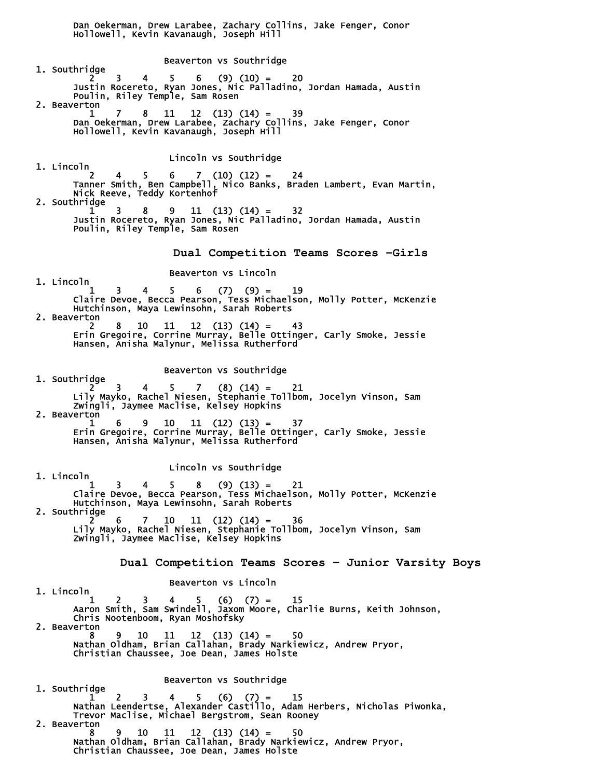Dan Oekerman, Drew Larabee, Zachary Collins, Jake Fenger, Conor Hollowell, Kevin Kavanaugh, Joseph Hill Beaverton vs Southridge 1. Southridge  $2 \t3 \t4 \t5 \t6 \t(9) (10) = 20$  Justin Rocereto, Ryan Jones, Nic Palladino, Jordan Hamada, Austin Poulin, Riley Temple, Sam Rosen 2. Beaverton 1 7 8 11 12 (13) (14) = 39 Dan Oekerman, Drew Larabee, Zachary Collins, Jake Fenger, Conor Hollowell, Kevin Kavanaugh, Joseph Hill Lincoln vs Southridge 1. Lincoln 2 4 5 6 7 (10) (12) = 24 Tanner Smith, Ben Campbell, Nico Banks, Braden Lambert, Evan Martin, Nick Reeve, Teddy Kortenhof 2. Southridge  $1 \quad 3 \quad 8 \quad 9 \quad 11 \quad (13) \quad (14) = 32$  Justin Rocereto, Ryan Jones, Nic Palladino, Jordan Hamada, Austin Poulin, Riley Temple, Sam Rosen **Dual Competition Teams Scores –Girls**  Beaverton vs Lincoln 1. Lincoln  $1 \quad 3 \quad 4 \quad 5 \quad 6 \quad (7) \quad (9) = \quad 19$  Claire Devoe, Becca Pearson, Tess Michaelson, Molly Potter, McKenzie Hutchinson, Maya Lewinsohn, Sarah Roberts 2. Beaverton 2 8 10 11 12 (13) (14) = 43 Erin Gregoire, Corrine Murray, Belle Ottinger, Carly Smoke, Jessie Hansen, Anisha Malynur, Melissa Rutherford Beaverton vs Southridge 1. Southridge  $\frac{3}{3}$  2 3 4 5 7 (8) (14) = 21 Lily Mayko, Rachel Niesen, Stephanie Tollbom, Jocelyn Vinson, Sam Zwingli, Jaymee Maclise, Kelsey Hopkins 2. Beaverton<br> $\begin{array}{cc} 2 & 2 & 1 \\ 1 & 6 \end{array}$  1 6 9 10 11 (12) (13) = 37 Erin Gregoire, Corrine Murray, Belle Ottinger, Carly Smoke, Jessie Hansen, Anisha Malynur, Melissa Rutherford Lincoln vs Southridge 1. Lincoln  $1 \quad 3 \quad 4 \quad 5 \quad 8 \quad (9) \tag{13} = \quad 21$  Claire Devoe, Becca Pearson, Tess Michaelson, Molly Potter, McKenzie Hutchinson, Maya Lewinsohn, Sarah Roberts 2. Southridge 2 6 7 10 11 (12) (14) = 36 Lily Mayko, Rachel Niesen, Stephanie Tollbom, Jocelyn Vinson, Sam Zwingli, Jaymee Maclise, Kelsey Hopkins **Dual Competition Teams Scores – Junior Varsity Boys**  Beaverton vs Lincoln 1. Lincoln  $1 \quad 2 \quad 3 \quad 4 \quad 5 \quad (6) \quad (7) = \quad 15$  Aaron Smith, Sam Swindell, Jaxom Moore, Charlie Burns, Keith Johnson, Chris Nootenboom, Ryan Moshofsky 2. Beaverton 8 9 10 11 12 (13) (14) = 50 Nathan Oldham, Brian Callahan, Brady Narkiewicz, Andrew Pryor, Christian Chaussee, Joe Dean, James Holste Beaverton vs Southridge 1. Southridge  $1 \t2 \t3 \t4 \t5 \t(6) \t(7) = 15$  Nathan Leendertse, Alexander Castillo, Adam Herbers, Nicholas Piwonka, Trevor Maclise, Michael Bergstrom, Sean Rooney 2. Beaverton 8 9 10 11 12 (13) (14) = 50 Nathan Oldham, Brian Callahan, Brady Narkiewicz, Andrew Pryor, Christian Chaussee, Joe Dean, James Holste